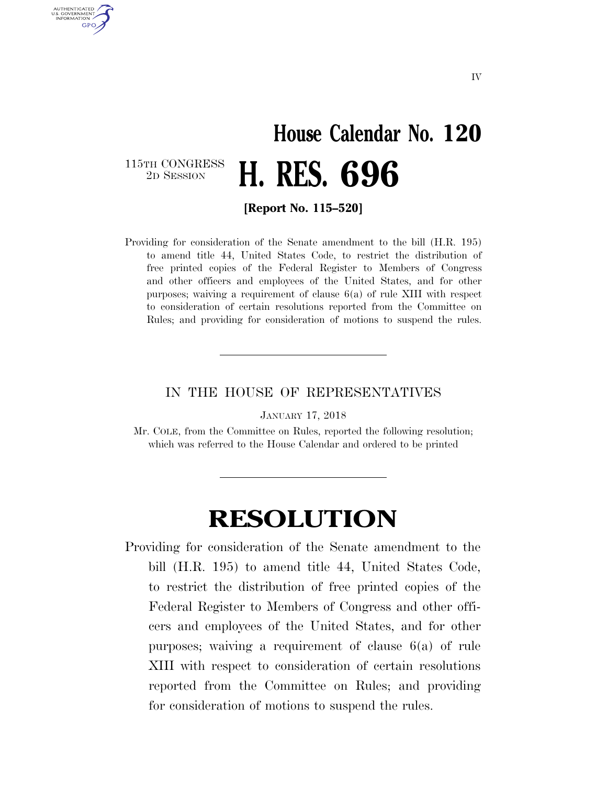## **House Calendar No. 120**  2D SESSION **H. RES. 696**

115TH CONGRESS<br>2D SESSION

AUTHENTICATED U.S. GOVERNMENT **GPO** 

**[Report No. 115–520]** 

Providing for consideration of the Senate amendment to the bill (H.R. 195) to amend title 44, United States Code, to restrict the distribution of free printed copies of the Federal Register to Members of Congress and other officers and employees of the United States, and for other purposes; waiving a requirement of clause 6(a) of rule XIII with respect to consideration of certain resolutions reported from the Committee on Rules; and providing for consideration of motions to suspend the rules.

## IN THE HOUSE OF REPRESENTATIVES

JANUARY 17, 2018

Mr. COLE, from the Committee on Rules, reported the following resolution; which was referred to the House Calendar and ordered to be printed

## **RESOLUTION**

Providing for consideration of the Senate amendment to the bill (H.R. 195) to amend title 44, United States Code, to restrict the distribution of free printed copies of the Federal Register to Members of Congress and other officers and employees of the United States, and for other purposes; waiving a requirement of clause 6(a) of rule XIII with respect to consideration of certain resolutions reported from the Committee on Rules; and providing for consideration of motions to suspend the rules.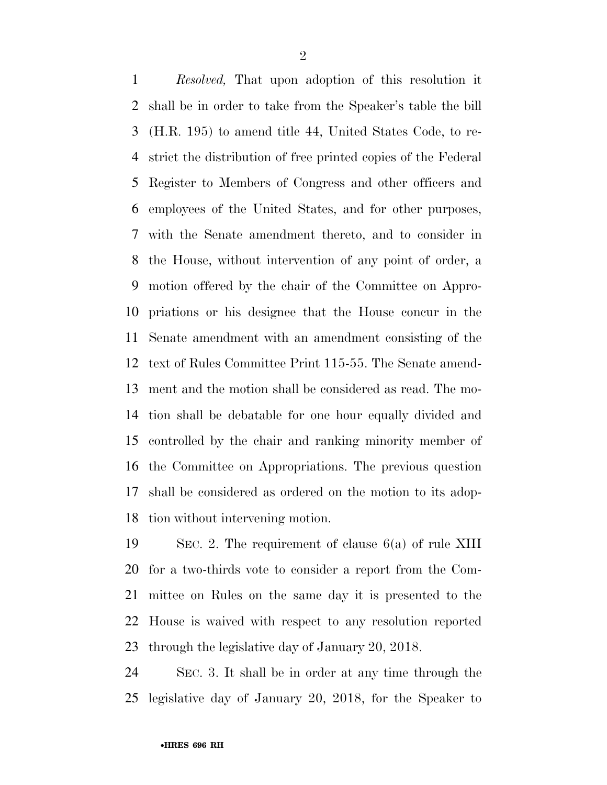*Resolved,* That upon adoption of this resolution it shall be in order to take from the Speaker's table the bill (H.R. 195) to amend title 44, United States Code, to re- strict the distribution of free printed copies of the Federal Register to Members of Congress and other officers and employees of the United States, and for other purposes, with the Senate amendment thereto, and to consider in the House, without intervention of any point of order, a motion offered by the chair of the Committee on Appro- priations or his designee that the House concur in the Senate amendment with an amendment consisting of the text of Rules Committee Print 115-55. The Senate amend- ment and the motion shall be considered as read. The mo- tion shall be debatable for one hour equally divided and controlled by the chair and ranking minority member of the Committee on Appropriations. The previous question shall be considered as ordered on the motion to its adop-tion without intervening motion.

 SEC. 2. The requirement of clause 6(a) of rule XIII for a two-thirds vote to consider a report from the Com- mittee on Rules on the same day it is presented to the House is waived with respect to any resolution reported through the legislative day of January 20, 2018.

 SEC. 3. It shall be in order at any time through the legislative day of January 20, 2018, for the Speaker to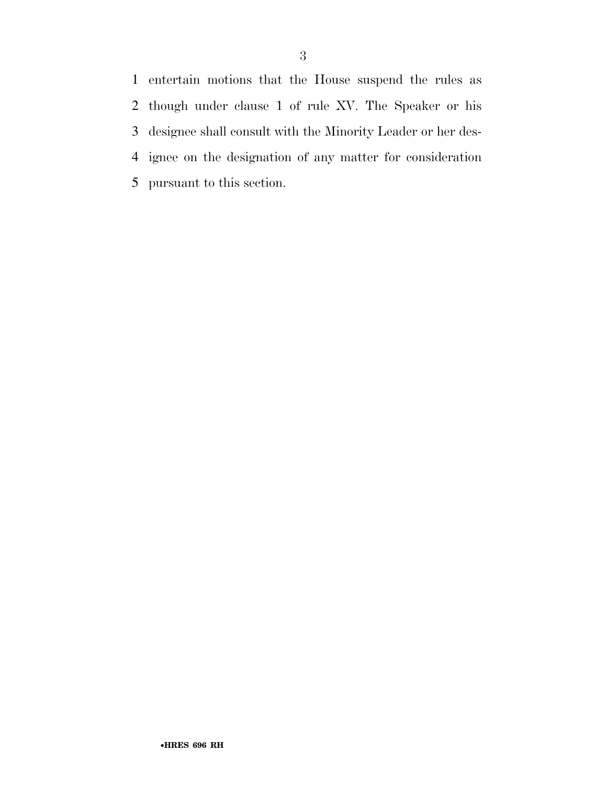entertain motions that the House suspend the rules as though under clause 1 of rule XV. The Speaker or his designee shall consult with the Minority Leader or her des- ignee on the designation of any matter for consideration pursuant to this section.